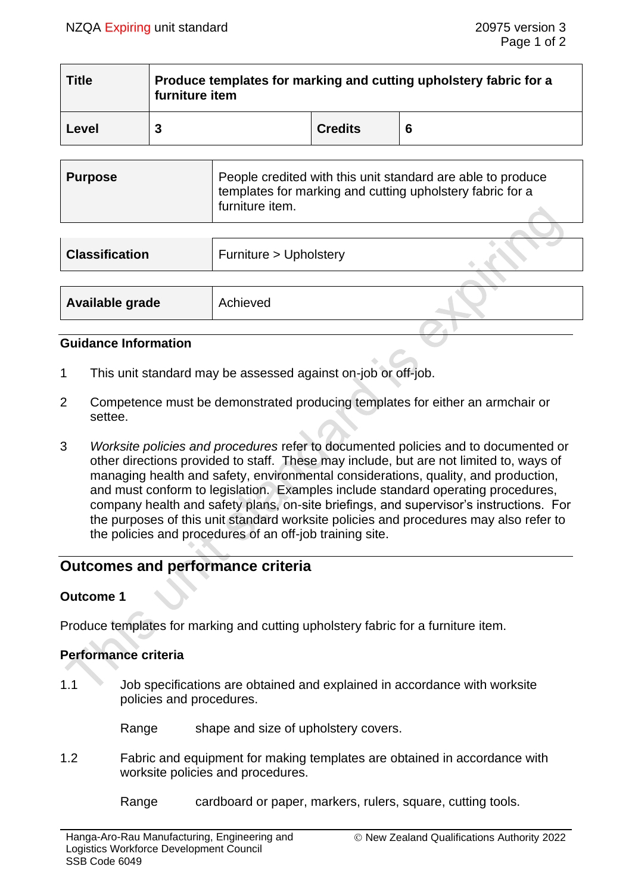| <b>Title</b> | Produce templates for marking and cutting upholstery fabric for a<br>furniture item |                |   |
|--------------|-------------------------------------------------------------------------------------|----------------|---|
| Level        |                                                                                     | <b>Credits</b> | 6 |

| Purpose | People credited with this unit standard are able to produce<br>templates for marking and cutting upholstery fabric for a<br>furniture item. |  |
|---------|---------------------------------------------------------------------------------------------------------------------------------------------|--|
|         |                                                                                                                                             |  |

| <b>Classification</b> | Furniture > Upholstery |  |
|-----------------------|------------------------|--|
|                       |                        |  |
| Available grade       | Achieved               |  |
|                       |                        |  |

#### **Guidance Information**

- 1 This unit standard may be assessed against on-job or off-job.
- 2 Competence must be demonstrated producing templates for either an armchair or settee.
- 3 *Worksite policies and procedures* refer to documented policies and to documented or other directions provided to staff. These may include, but are not limited to, ways of managing health and safety, environmental considerations, quality, and production, and must conform to legislation. Examples include standard operating procedures, company health and safety plans, on-site briefings, and supervisor's instructions. For the purposes of this unit standard worksite policies and procedures may also refer to the policies and procedures of an off-job training site.

## **Outcomes and performance criteria**

#### **Outcome 1**

Produce templates for marking and cutting upholstery fabric for a furniture item.

#### **Performance criteria**

1.1 Job specifications are obtained and explained in accordance with worksite policies and procedures.

Range shape and size of upholstery covers.

1.2 Fabric and equipment for making templates are obtained in accordance with worksite policies and procedures.

Range cardboard or paper, markers, rulers, square, cutting tools.